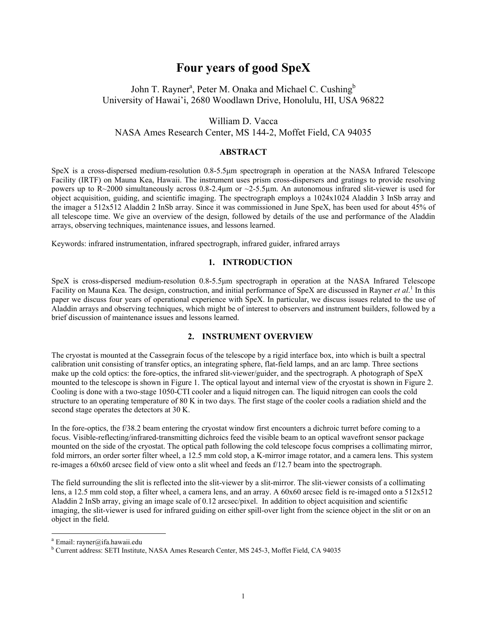# **Four years of good SpeX**

# John T. R[a](#page-0-0)yner<sup>a</sup>, Peter M. Onaka and Michael C. Cushing<sup>b</sup> University of Hawai'i, 2680 Woodlawn Drive, Honolulu, HI, USA 96822

# William D. Vacca NASA Ames Research Center, MS 144-2, Moffet Field, CA 94035

# **ABSTRACT**

SpeX is a cross-dispersed medium-resolution 0.8-5.5µm spectrograph in operation at the NASA Infrared Telescope Facility (IRTF) on Mauna Kea, Hawaii. The instrument uses prism cross-dispersers and gratings to provide resolving powers up to R~2000 simultaneously across 0.8-2.4µm or ~2-5.5µm. An autonomous infrared slit-viewer is used for object acquisition, guiding, and scientific imaging. The spectrograph employs a 1024x1024 Aladdin 3 InSb array and the imager a 512x512 Aladdin 2 InSb array. Since it was commissioned in June SpeX, has been used for about 45% of all telescope time. We give an overview of the design, followed by details of the use and performance of the Aladdin arrays, observing techniques, maintenance issues, and lessons learned.

Keywords: infrared instrumentation, infrared spectrograph, infrared guider, infrared arrays

# **1. INTRODUCTION**

SpeX is cross-dispersed medium-resolution 0.8-5.5µm spectrograph in operation at the NASA Infrared Telescope Facility on Mauna Kea. The design, construction, and initial performance of SpeX are discussed in Rayner *et al.*<sup>1</sup> In this paper we discuss four years of operational experience with SpeX. In particular, we discuss issues related to the use of Aladdin arrays and observing techniques, which might be of interest to observers and instrument builders, followed by a brief discussion of maintenance issues and lessons learned.

# **2. INSTRUMENT OVERVIEW**

The cryostat is mounted at the Cassegrain focus of the telescope by a rigid interface box, into which is built a spectral calibration unit consisting of transfer optics, an integrating sphere, flat-field lamps, and an arc lamp. Three sections make up the cold optics: the fore-optics, the infrared slit-viewer/guider, and the spectrograph. A photograph of SpeX mounted to the telescope is shown in Figure 1. The optical layout and internal view of the cryostat is shown in Figure 2. Cooling is done with a two-stage 1050-CTI cooler and a liquid nitrogen can. The liquid nitrogen can cools the cold structure to an operating temperature of 80 K in two days. The first stage of the cooler cools a radiation shield and the second stage operates the detectors at 30 K.

In the fore-optics, the f/38.2 beam entering the cryostat window first encounters a dichroic turret before coming to a focus. Visible-reflecting/infrared-transmitting dichroics feed the visible beam to an optical wavefront sensor package mounted on the side of the cryostat. The optical path following the cold telescope focus comprises a collimating mirror, fold mirrors, an order sorter filter wheel, a 12.5 mm cold stop, a K-mirror image rotator, and a camera lens. This system re-images a 60x60 arcsec field of view onto a slit wheel and feeds an f/12.7 beam into the spectrograph.

The field surrounding the slit is reflected into the slit-viewer by a slit-mirror. The slit-viewer consists of a collimating lens, a 12.5 mm cold stop, a filter wheel, a camera lens, and an array. A 60x60 arcsec field is re-imaged onto a 512x512 Aladdin 2 InSb array, giving an image scale of 0.12 arcsec/pixel. In addition to object acquisition and scientific imaging, the slit-viewer is used for infrared guiding on either spill-over light from the science object in the slit or on an object in the field.

<span id="page-0-0"></span><sup>&</sup>lt;sup>a</sup> Email: rayner@ifa.hawaii.edu

<span id="page-0-1"></span>Current address: SETI Institute, NASA Ames Research Center, MS 245-3, Moffet Field, CA 94035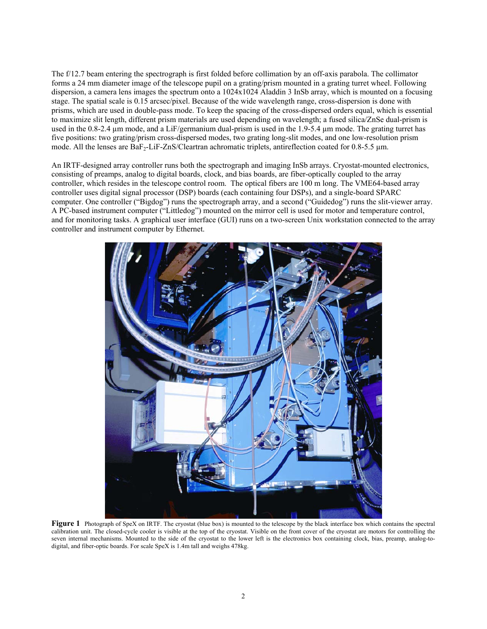The f/12.7 beam entering the spectrograph is first folded before collimation by an off-axis parabola. The collimator forms a 24 mm diameter image of the telescope pupil on a grating/prism mounted in a grating turret wheel. Following dispersion, a camera lens images the spectrum onto a 1024x1024 Aladdin 3 InSb array, which is mounted on a focusing stage. The spatial scale is 0.15 arcsec/pixel. Because of the wide wavelength range, cross-dispersion is done with prisms, which are used in double-pass mode. To keep the spacing of the cross-dispersed orders equal, which is essential to maximize slit length, different prism materials are used depending on wavelength; a fused silica/ZnSe dual-prism is used in the 0.8-2.4 µm mode, and a LiF/germanium dual-prism is used in the 1.9-5.4 µm mode. The grating turret has five positions: two grating/prism cross-dispersed modes, two grating long-slit modes, and one low-resolution prism mode. All the lenses are  $BaF<sub>2</sub>-LiF-ZnS/Cleartran$  achromatic triplets, antireflection coated for 0.8-5.5 µm.

An IRTF-designed array controller runs both the spectrograph and imaging InSb arrays. Cryostat-mounted electronics, consisting of preamps, analog to digital boards, clock, and bias boards, are fiber-optically coupled to the array controller, which resides in the telescope control room. The optical fibers are 100 m long. The VME64-based array controller uses digital signal processor (DSP) boards (each containing four DSPs), and a single-board SPARC computer. One controller ("Bigdog") runs the spectrograph array, and a second ("Guidedog") runs the slit-viewer array. A PC-based instrument computer ("Littledog") mounted on the mirror cell is used for motor and temperature control, and for monitoring tasks. A graphical user interface (GUI) runs on a two-screen Unix workstation connected to the array controller and instrument computer by Ethernet.



**Figure 1** Photograph of SpeX on IRTF. The cryostat (blue box) is mounted to the telescope by the black interface box which contains the spectral calibration unit. The closed-cycle cooler is visible at the top of the cryostat. Visible on the front cover of the cryostat are motors for controlling the seven internal mechanisms. Mounted to the side of the cryostat to the lower left is the electronics box containing clock, bias, preamp, analog-todigital, and fiber-optic boards. For scale SpeX is 1.4m tall and weighs 478kg.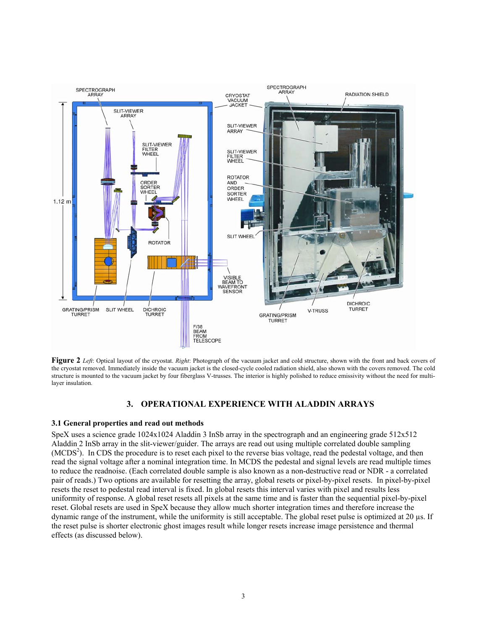

**Figure 2** *Left*: Optical layout of the cryostat. *Right*: Photograph of the vacuum jacket and cold structure, shown with the front and back covers of the cryostat removed. Immediately inside the vacuum jacket is the closed-cycle cooled radiation shield, also shown with the covers removed. The cold structure is mounted to the vacuum jacket by four fiberglass V-trusses. The interior is highly polished to reduce emissivity without the need for multilayer insulation.

# **3. OPERATIONAL EXPERIENCE WITH ALADDIN ARRAYS**

### **3.1 General properties and read out methods**

SpeX uses a science grade 1024x1024 Aladdin 3 InSb array in the spectrograph and an engineering grade 512x512 Aladdin 2 InSb array in the slit-viewer/guider. The arrays are read out using multiple correlated double sampling (MCDS<sup>2</sup>). In CDS the procedure is to reset each pixel to the reverse bias voltage, read the pedestal voltage, and then read the signal voltage after a nominal integration time. In MCDS the pedestal and signal levels are read multiple times to reduce the readnoise. (Each correlated double sample is also known as a non-destructive read or NDR - a correlated pair of reads.) Two options are available for resetting the array, global resets or pixel-by-pixel resets. In pixel-by-pixel resets the reset to pedestal read interval is fixed. In global resets this interval varies with pixel and results less uniformity of response. A global reset resets all pixels at the same time and is faster than the sequential pixel-by-pixel reset. Global resets are used in SpeX because they allow much shorter integration times and therefore increase the dynamic range of the instrument, while the uniformity is still acceptable. The global reset pulse is optimized at 20 µs. If the reset pulse is shorter electronic ghost images result while longer resets increase image persistence and thermal effects (as discussed below).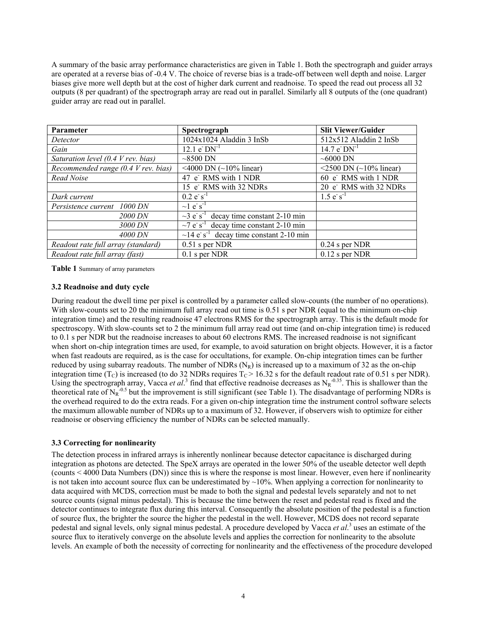A summary of the basic array performance characteristics are given in Table 1. Both the spectrograph and guider arrays are operated at a reverse bias of -0.4 V. The choice of reverse bias is a trade-off between well depth and noise. Larger biases give more well depth but at the cost of higher dark current and readnoise. To speed the read out process all 32 outputs (8 per quadrant) of the spectrograph array are read out in parallel. Similarly all 8 outputs of the (one quadrant) guider array are read out in parallel.

| Parameter                                            | Spectrograph                                             | <b>Slit Viewer/Guider</b>         |
|------------------------------------------------------|----------------------------------------------------------|-----------------------------------|
| Detector                                             | 1024x1024 Aladdin 3 InSb                                 | 512x512 Aladdin 2 InSb            |
| Gain                                                 | $12.1 \text{ e}^{\cdot} \text{DN}^{\text{-1}}$           | 14.7 $e^{\cdot}$ DN <sup>-1</sup> |
| Saturation level $(0.4 \, V \, \text{rev.} \, bias)$ | $\sim$ 8500 DN                                           | $\sim$ 6000 DN                    |
| Recommended range (0.4 V rev. bias)                  | <4000 DN $(-10\%$ linear)                                | <2500 DN $({\sim}10\%$ linear)    |
| Read Noise                                           | 47 e RMS with 1 NDR                                      | 60 e RMS with 1 NDR               |
|                                                      | 15 e RMS with 32 NDRs                                    | 20 e RMS with 32 NDRs             |
| Dark current                                         | $0.2 e^{-s^{-1}}$                                        | $1.5 e^{-1}$                      |
| Persistence current 1000 DN                          | $\sim$ 1 e <sup>-</sup> s <sup>-1</sup>                  |                                   |
| 2000 DN                                              | $\sim$ 3 e s <sup>-1</sup> decay time constant 2-10 min  |                                   |
| 3000 DN                                              | $\sim$ 7 e <sup>-1</sup> decay time constant 2-10 min    |                                   |
| 4000 DN                                              | $\sim$ 14 e s <sup>-1</sup> decay time constant 2-10 min |                                   |
| Readout rate full array (standard)                   | $0.51$ s per NDR                                         | $0.24$ s per NDR                  |
| Readout rate full array (fast)                       | $0.1$ s per NDR                                          | $0.12$ s per NDR                  |

**Table 1** Summary of array parameters

#### **3.2 Readnoise and duty cycle**

During readout the dwell time per pixel is controlled by a parameter called slow-counts (the number of no operations). With slow-counts set to 20 the minimum full array read out time is 0.51 s per NDR (equal to the minimum on-chip integration time) and the resulting readnoise 47 electrons RMS for the spectrograph array. This is the default mode for spectroscopy. With slow-counts set to 2 the minimum full array read out time (and on-chip integration time) is reduced to 0.1 s per NDR but the readnoise increases to about 60 electrons RMS. The increased readnoise is not significant when short on-chip integration times are used, for example, to avoid saturation on bright objects. However, it is a factor when fast readouts are required, as is the case for occultations, for example. On-chip integration times can be further reduced by using subarray readouts. The number of NDRs  $(N_R)$  is increased up to a maximum of 32 as the on-chip integration time (T<sub>C</sub>) is increased (to do 32 NDRs requires  $T_c > 16.32$  s for the default readout rate of 0.51 s per NDR). Using the spectrograph array, Vacca *et al.*<sup>3</sup> find that effective readnoise decreases as  $N_R^{-0.35}$ . This is shallower than the theoretical rate of  $N_R^{-0.5}$  but the improvement is still significant (see Table 1). The disadvantage of performing NDRs is the overhead required to do the extra reads. For a given on-chip integration time the instrument control software selects the maximum allowable number of NDRs up to a maximum of 32. However, if observers wish to optimize for either readnoise or observing efficiency the number of NDRs can be selected manually.

### **3.3 Correcting for nonlinearity**

The detection process in infrared arrays is inherently nonlinear because detector capacitance is discharged during integration as photons are detected. The SpeX arrays are operated in the lower 50% of the useable detector well depth (counts < 4000 Data Numbers (DN)) since this is where the response is most linear. However, even here if nonlinearity is not taken into account source flux can be underestimated by  $\sim 10\%$ . When applying a correction for nonlinearity to data acquired with MCDS, correction must be made to both the signal and pedestal levels separately and not to net source counts (signal minus pedestal). This is because the time between the reset and pedestal read is fixed and the detector continues to integrate flux during this interval. Consequently the absolute position of the pedestal is a function of source flux, the brighter the source the higher the pedestal in the well. However, MCDS does not record separate pedestal and signal levels, only signal minus pedestal. A procedure developed by Vacca *et al*. <sup>3</sup> uses an estimate of the source flux to iteratively converge on the absolute levels and applies the correction for nonlinearity to the absolute levels. An example of both the necessity of correcting for nonlinearity and the effectiveness of the procedure developed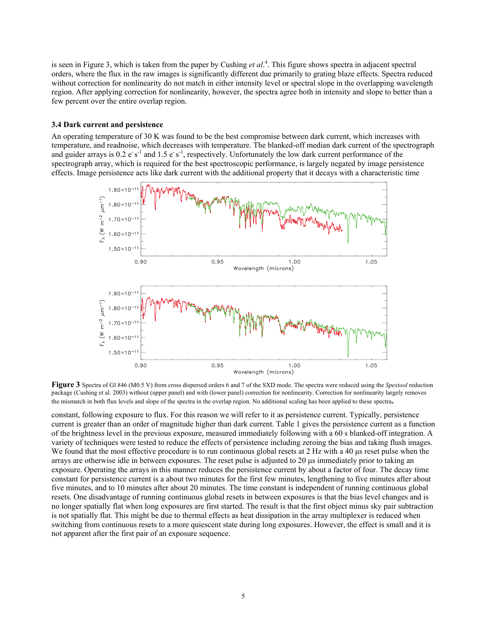is seen in Figure 3, which is taken from the paper by Cushing *et al*. 4 . This figure shows spectra in adjacent spectral orders, where the flux in the raw images is significantly different due primarily to grating blaze effects. Spectra reduced without correction for nonlinearity do not match in either intensity level or spectral slope in the overlapping wavelength region. After applying correction for nonlinearity, however, the spectra agree both in intensity and slope to better than a few percent over the entire overlap region.

#### **3.4 Dark current and persistence**

An operating temperature of 30 K was found to be the best compromise between dark current, which increases with temperature, and readnoise, which decreases with temperature. The blanked-off median dark current of the spectrograph and guider arrays is  $0.2 e^{-s^{-1}}$  and  $1.5 e^{-s^{-1}}$ , respectively. Unfortunately the low dark current performance of the spectrograph array, which is required for the best spectroscopic performance, is largely negated by image persistence effects. Image persistence acts like dark current with the additional property that it decays with a characteristic time



**Figure 3** Spectra of Gl 846 (M0.5 V) from cross dispersed orders 6 and 7 of the SXD mode. The spectra were reduced using the *Spextool* reduction package (Cushing et al. 2003) without (upper panel) and with (lower panel) correction for nonlinearity. Correction for nonlinearity largely removes the mismatch in both flux levels and slope of the spectra in the overlap region. No additional scaling has been applied to these spectra**.**

constant, following exposure to flux. For this reason we will refer to it as persistence current. Typically, persistence current is greater than an order of magnitude higher than dark current. Table 1 gives the persistence current as a function of the brightness level in the previous exposure, measured immediately following with a 60 s blanked-off integration. A variety of techniques were tested to reduce the effects of persistence including zeroing the bias and taking flush images. We found that the most effective procedure is to run continuous global resets at 2 Hz with a 40 us reset pulse when the arrays are otherwise idle in between exposures. The reset pulse is adjusted to 20 µs immediately prior to taking an exposure. Operating the arrays in this manner reduces the persistence current by about a factor of four. The decay time constant for persistence current is a about two minutes for the first few minutes, lengthening to five minutes after about five minutes, and to 10 minutes after about 20 minutes. The time constant is independent of running continuous global resets. One disadvantage of running continuous global resets in between exposures is that the bias level changes and is no longer spatially flat when long exposures are first started. The result is that the first object minus sky pair subtraction is not spatially flat. This might be due to thermal effects as heat dissipation in the array multiplexer is reduced when switching from continuous resets to a more quiescent state during long exposures. However, the effect is small and it is not apparent after the first pair of an exposure sequence.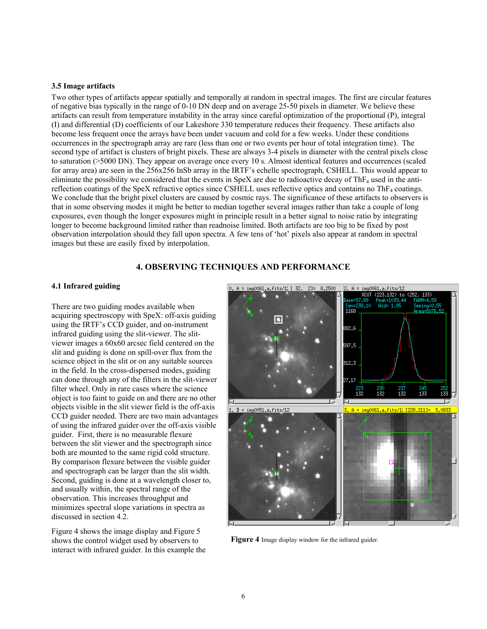#### **3.5 Image artifacts**

Two other types of artifacts appear spatially and temporally at random in spectral images. The first are circular features of negative bias typically in the range of 0-10 DN deep and on average 25-50 pixels in diameter. We believe these artifacts can result from temperature instability in the array since careful optimization of the proportional (P), integral (I) and differential (D) coefficients of our Lakeshore 330 temperature reduces their frequency. These artifacts also become less frequent once the arrays have been under vacuum and cold for a few weeks. Under these conditions occurrences in the spectrograph array are rare (less than one or two events per hour of total integration time). The second type of artifact is clusters of bright pixels. These are always 3-4 pixels in diameter with the central pixels close to saturation (>5000 DN). They appear on average once every 10 s. Almost identical features and occurrences (scaled for array area) are seen in the 256x256 InSb array in the IRTF's echelle spectrograph, CSHELL. This would appear to eliminate the possibility we considered that the events in  $SpeX$  are due to radioactive decay of  $ThF<sub>4</sub>$  used in the antireflection coatings of the SpeX refractive optics since CSHELL uses reflective optics and contains no ThF4 coatings. We conclude that the bright pixel clusters are caused by cosmic rays. The significance of these artifacts to observers is that in some observing modes it might be better to median together several images rather than take a couple of long exposures, even though the longer exposures might in principle result in a better signal to noise ratio by integrating longer to become background limited rather than readnoise limited. Both artifacts are too big to be fixed by post observation interpolation should they fall upon spectra. A few tens of 'hot' pixels also appear at random in spectral images but these are easily fixed by interpolation.

# **4. OBSERVING TECHNIQUES AND PERFORMANCE**

#### **4.1 Infrared guiding**

There are two guiding modes available when acquiring spectroscopy with SpeX: off-axis guiding using the IRTF's CCD guider, and on-instrument infrared guiding using the slit-viewer. The slitviewer images a 60x60 arcsec field centered on the slit and guiding is done on spill-over flux from the science object in the slit or on any suitable sources in the field. In the cross-dispersed modes, guiding can done through any of the filters in the slit-viewer filter wheel. Only in rare cases where the science object is too faint to guide on and there are no other objects visible in the slit viewer field is the off-axis CCD guider needed. There are two main advantages of using the infrared guider over the off-axis visible guider. First, there is no measurable flexure between the slit viewer and the spectrograph since both are mounted to the same rigid cold structure. By comparison flexure between the visible guider and spectrograph can be larger than the slit width. Second, guiding is done at a wavelength closer to, and usually within, the spectral range of the observation. This increases throughput and minimizes spectral slope variations in spectra as discussed in section 4.2.

Figure 4 shows the image display and Figure 5 shows the control widget used by observers to interact with infrared guider. In this example the



**Figure 4** Image display window for the infrared guider.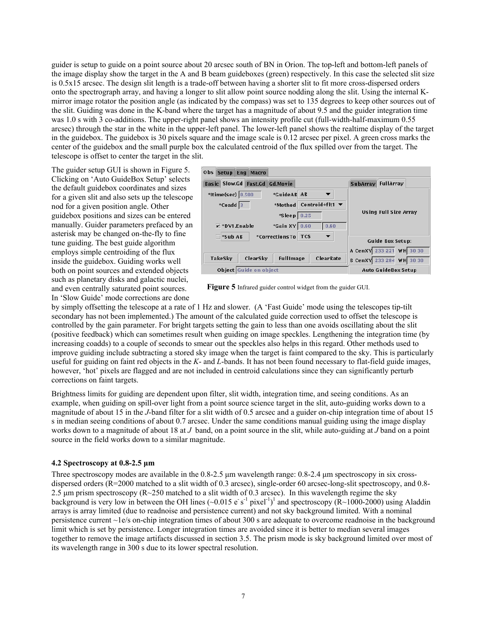guider is setup to guide on a point source about 20 arcsec south of BN in Orion. The top-left and bottom-left panels of the image display show the target in the A and B beam guideboxes (green) respectively. In this case the selected slit size is 0.5x15 arcsec. The design slit length is a trade-off between having a shorter slit to fit more cross-dispersed orders onto the spectrograph array, and having a longer to slit allow point source nodding along the slit. Using the internal Kmirror image rotator the position angle (as indicated by the compass) was set to 135 degrees to keep other sources out of the slit. Guiding was done in the K-band where the target has a magnitude of about 9.5 and the guider integration time was 1.0 s with 3 co-additions. The upper-right panel shows an intensity profile cut (full-width-half-maximum 0.55 arcsec) through the star in the white in the upper-left panel. The lower-left panel shows the realtime display of the target in the guidebox. The guidebox is 30 pixels square and the image scale is 0.12 arcsec per pixel. A green cross marks the center of the guidebox and the small purple box the calculated centroid of the flux spilled over from the target. The telescope is offset to center the target in the slit.

The guider setup GUI is shown in Figure 5. Clicking on 'Auto GuideBox Setup' selects the default guidebox coordinates and sizes for a given slit and also sets up the telescope nod for a given position angle. Other guidebox positions and sizes can be entered manually. Guider parameters prefaced by an asterisk may be changed on-the-fly to fine tune guiding. The best guide algorithm employs simple centroiding of the flux inside the guidebox. Guiding works well both on point sources and extended objects such as planetary disks and galactic nuclei, and even centrally saturated point sources. In 'Slow Guide' mode corrections are done

| 0 <sub>b</sub><br>Setup Eng Macro                            |                                           |  |  |
|--------------------------------------------------------------|-------------------------------------------|--|--|
| Basic Slow.Gd Fast.Gd Gd.Movie                               | SubArray FullArray                        |  |  |
| *Itime(sec) 0.500<br>*GuideAB AB                             |                                           |  |  |
| Centroid+flt1 $\blacktriangledown$<br>$*$ Coadd 3<br>*Method |                                           |  |  |
| $*Sleep$ 0.25                                                | <b>Using Full Size Array</b>              |  |  |
| $\overline{V}$ *DV1.Enable<br>$*$ Gain XY $ 0.60$<br>0.60    |                                           |  |  |
| *CorrectionsTo<br><b>TCS</b><br><sup>*</sup> Sub AB          | <b>Guide Box Setup:</b>                   |  |  |
|                                                              | A CenXY 233 221 WH 30 30                  |  |  |
| TakeSky<br>ClearSky<br><b>ClearRate</b><br><b>FullImage</b>  | <b>B CenXY</b> 233 284<br><b>WH</b> 30 30 |  |  |
| Object Guide on object                                       | <b>Auto GuideBox Setup</b>                |  |  |

**Figure 5** Infrared guider control widget from the guider GUI.

by simply offsetting the telescope at a rate of 1 Hz and slower. (A 'Fast Guide' mode using the telescopes tip-tilt secondary has not been implemented.) The amount of the calculated guide correction used to offset the telescope is controlled by the gain parameter. For bright targets setting the gain to less than one avoids oscillating about the slit (positive feedback) which can sometimes result when guiding on image speckles. Lengthening the integration time (by increasing coadds) to a couple of seconds to smear out the speckles also helps in this regard. Other methods used to improve guiding include subtracting a stored sky image when the target is faint compared to the sky. This is particularly useful for guiding on faint red objects in the *K*- and *L*-bands. It has not been found necessary to flat-field guide images, however, 'hot' pixels are flagged and are not included in centroid calculations since they can significantly perturb corrections on faint targets.

Brightness limits for guiding are dependent upon filter, slit width, integration time, and seeing conditions. As an example, when guiding on spill-over light from a point source science target in the slit, auto-guiding works down to a magnitude of about 15 in the *J*-band filter for a slit width of 0.5 arcsec and a guider on-chip integration time of about 15 s in median seeing conditions of about 0.7 arcsec. Under the same conditions manual guiding using the image display works down to a magnitude of about 18 at *J* band, on a point source in the slit, while auto-guiding at *J* band on a point source in the field works down to a similar magnitude.

#### **4.2 Spectroscopy at 0.8-2.5 µm**

Three spectroscopy modes are available in the 0.8-2.5  $\mu$ m wavelength range: 0.8-2.4  $\mu$ m spectroscopy in six crossdispersed orders (R=2000 matched to a slit width of 0.3 arcsec), single-order 60 arcsec-long-slit spectroscopy, and 0.8-2.5  $\mu$ m prism spectroscopy (R $\approx$ 250 matched to a slit width of 0.3 arcsec). In this wavelength regime the sky background is very low in between the OH lines  $(\sim 0.015 \text{ e s}^{-1} \text{ pixel}^{-1})^1$  and spectroscopy (R $\sim$ 1000-2000) using Aladdin arrays is array limited (due to readnoise and persistence current) and not sky background limited. With a nominal persistence current ~1e/s on-chip integration times of about 300 s are adequate to overcome readnoise in the background limit which is set by persistence. Longer integration times are avoided since it is better to median several images together to remove the image artifacts discussed in section 3.5. The prism mode is sky background limited over most of its wavelength range in 300 s due to its lower spectral resolution.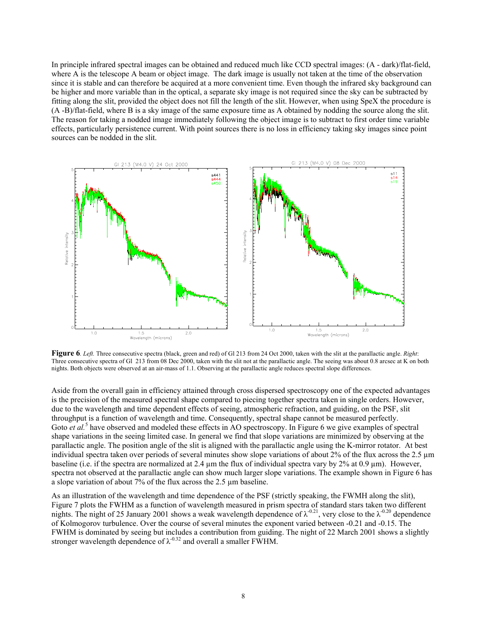In principle infrared spectral images can be obtained and reduced much like CCD spectral images: (A - dark)/flat-field, where A is the telescope A beam or object image. The dark image is usually not taken at the time of the observation since it is stable and can therefore be acquired at a more convenient time. Even though the infrared sky background can be higher and more variable than in the optical, a separate sky image is not required since the sky can be subtracted by fitting along the slit, provided the object does not fill the length of the slit. However, when using SpeX the procedure is (A -B)/flat-field, where B is a sky image of the same exposure time as A obtained by nodding the source along the slit. The reason for taking a nodded image immediately following the object image is to subtract to first order time variable effects, particularly persistence current. With point sources there is no loss in efficiency taking sky images since point sources can be nodded in the slit.



**Figure 6***. Left.* Three consecutive spectra (black, green and red) of Gl 213 from 24 Oct 2000, taken with the slit at the parallactic angle. *Right*: Three consecutive spectra of Gl 213 from 08 Dec 2000, taken with the slit not at the parallactic angle. The seeing was about 0.8 arcsec at K on both nights. Both objects were observed at an air-mass of 1.1. Observing at the parallactic angle reduces spectral slope differences.

Aside from the overall gain in efficiency attained through cross dispersed spectroscopy one of the expected advantages is the precision of the measured spectral shape compared to piecing together spectra taken in single orders. However, due to the wavelength and time dependent effects of seeing, atmospheric refraction, and guiding, on the PSF, slit throughput is a function of wavelength and time. Consequently, spectral shape cannot be measured perfectly. Goto *et al.*<sup>5</sup> have observed and modeled these effects in AO spectroscopy. In Figure 6 we give examples of spectral shape variations in the seeing limited case. In general we find that slope variations are minimized by observing at the parallactic angle. The position angle of the slit is aligned with the parallactic angle using the K-mirror rotator. At best individual spectra taken over periods of several minutes show slope variations of about 2% of the flux across the 2.5 µm baseline (i.e. if the spectra are normalized at 2.4 µm the flux of individual spectra vary by 2% at 0.9 µm). However, spectra not observed at the parallactic angle can show much larger slope variations. The example shown in Figure 6 has a slope variation of about 7% of the flux across the 2.5 µm baseline.

As an illustration of the wavelength and time dependence of the PSF (strictly speaking, the FWMH along the slit), Figure 7 plots the FWHM as a function of wavelength measured in prism spectra of standard stars taken two different nights. The night of 25 January 2001 shows a weak wavelength dependence of  $\lambda^{-0.21}$ , very close to the  $\lambda^{-0.20}$  dependence of Kolmogorov turbulence. Over the course of several minutes the exponent varied between -0.21 and -0.15. The FWHM is dominated by seeing but includes a contribution from guiding. The night of 22 March 2001 shows a slightly stronger wavelength dependence of  $\lambda^{0.32}$  and overall a smaller FWHM.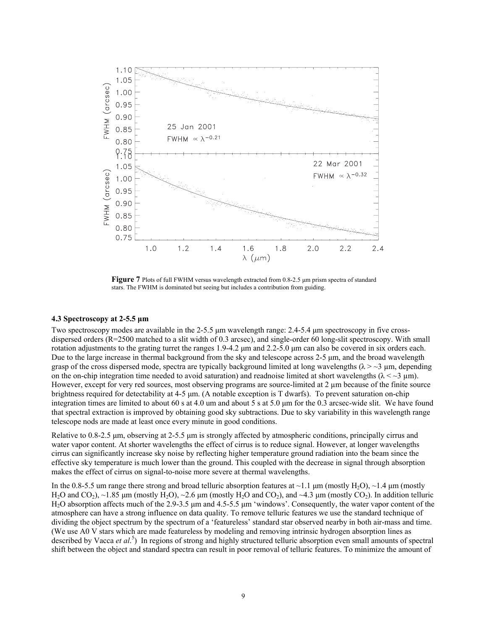

**Figure 7** Plots of full FWHM versus wavelength extracted from 0.8-2.5 um prism spectra of standard stars. The FWHM is dominated but seeing but includes a contribution from guiding.

#### **4.3 Spectroscopy at 2-5.5 µm**

Two spectroscopy modes are available in the 2-5.5  $\mu$ m wavelength range: 2.4-5.4  $\mu$ m spectroscopy in five crossdispersed orders (R=2500 matched to a slit width of 0.3 arcsec), and single-order 60 long-slit spectroscopy. With small rotation adjustments to the grating turret the ranges  $1.9-4.2 \mu m$  and  $2.2-5.0 \mu m$  can also be covered in six orders each. Due to the large increase in thermal background from the sky and telescope across 2-5  $\mu$ m, and the broad wavelength grasp of the cross dispersed mode, spectra are typically background limited at long wavelengths ( $\lambda > -3$  µm, depending on the on-chip integration time needed to avoid saturation) and readnoise limited at short wavelengths ( $\lambda < \sim 3 \mu m$ ). However, except for very red sources, most observing programs are source-limited at 2  $\mu$ m because of the finite source brightness required for detectability at 4-5 µm. (A notable exception is T dwarfs). To prevent saturation on-chip integration times are limited to about 60 s at 4.0 um and about 5 s at 5.0 µm for the 0.3 arcsec-wide slit. We have found that spectral extraction is improved by obtaining good sky subtractions. Due to sky variability in this wavelength range telescope nods are made at least once every minute in good conditions.

Relative to 0.8-2.5 µm, observing at 2-5.5 µm is strongly affected by atmospheric conditions, principally cirrus and water vapor content. At shorter wavelengths the effect of cirrus is to reduce signal. However, at longer wavelengths cirrus can significantly increase sky noise by reflecting higher temperature ground radiation into the beam since the effective sky temperature is much lower than the ground. This coupled with the decrease in signal through absorption makes the effect of cirrus on signal-to-noise more severe at thermal wavelengths.

In the 0.8-5.5 um range there strong and broad telluric absorption features at  $\sim$ 1.1 µm (mostly H<sub>2</sub>O),  $\sim$ 1.4 µm (mostly H<sub>2</sub>O and CO<sub>2</sub>), ~1.85 µm (mostly H<sub>2</sub>O), ~2.6 µm (mostly H<sub>2</sub>O and CO<sub>2</sub>), and ~4.3 µm (mostly CO<sub>2</sub>). In addition telluric H<sub>2</sub>O absorption affects much of the 2.9-3.5 µm and 4.5-5.5 µm 'windows'. Consequently, the water vapor content of the atmosphere can have a strong influence on data quality. To remove telluric features we use the standard technique of dividing the object spectrum by the spectrum of a 'featureless' standard star observed nearby in both air-mass and time. (We use A0 V stars which are made featureless by modeling and removing intrinsic hydrogen absorption lines as described by Vacca *et al.*<sup>5</sup>) In regions of strong and highly structured telluric absorption even small amounts of spectral shift between the object and standard spectra can result in poor removal of telluric features. To minimize the amount of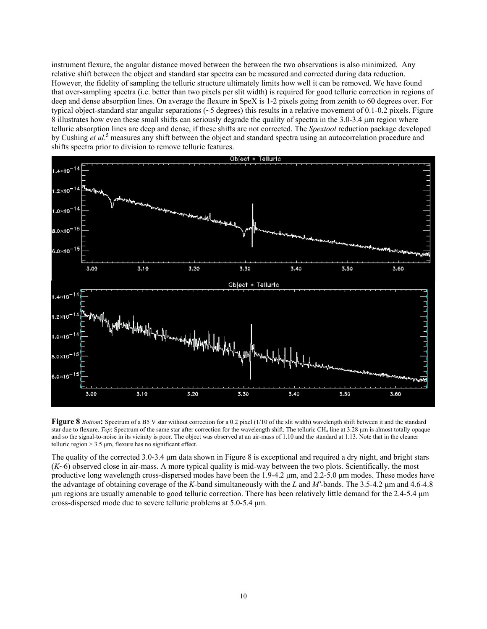instrument flexure, the angular distance moved between the between the two observations is also minimized. Any relative shift between the object and standard star spectra can be measured and corrected during data reduction. However, the fidelity of sampling the telluric structure ultimately limits how well it can be removed. We have found that over-sampling spectra (i.e. better than two pixels per slit width) is required for good telluric correction in regions of deep and dense absorption lines. On average the flexure in SpeX is 1-2 pixels going from zenith to 60 degrees over. For typical object-standard star angular separations ( $\sim$ 5 degrees) this results in a relative movement of 0.1-0.2 pixels. Figure 8 illustrates how even these small shifts can seriously degrade the quality of spectra in the 3.0-3.4 um region where telluric absorption lines are deep and dense, if these shifts are not corrected. The *Spextool* reduction package developed by Cushing *et al*. 5 measures any shift between the object and standard spectra using an autocorrelation procedure and shifts spectra prior to division to remove telluric features.



**Figure 8** *Bottom***:** Spectrum of a B5 V star without correction for a 0.2 pixel (1/10 of the slit width) wavelength shift between it and the standard star due to flexure. *Top*: Spectrum of the same star after correction for the wavelength shift. The telluric CH<sub>4</sub> line at 3.28 µm is almost totally opaque and so the signal-to-noise in its vicinity is poor. The object was observed at an air-mass of 1.10 and the standard at 1.13. Note that in the cleaner telluric region  $> 3.5$   $\mu$ m, flexure has no significant effect.

The quality of the corrected 3.0-3.4 µm data shown in Figure 8 is exceptional and required a dry night, and bright stars (*K*~6) observed close in air-mass. A more typical quality is mid-way between the two plots. Scientifically, the most productive long wavelength cross-dispersed modes have been the 1.9-4.2  $\mu$ m, and 2.2-5.0  $\mu$ m modes. These modes have the advantage of obtaining coverage of the *K*-band simultaneously with the *L* and *M'*-bands. The 3.5-4.2 µm and 4.6-4.8 µm regions are usually amenable to good telluric correction. There has been relatively little demand for the 2.4-5.4 µm cross-dispersed mode due to severe telluric problems at 5.0-5.4 µm.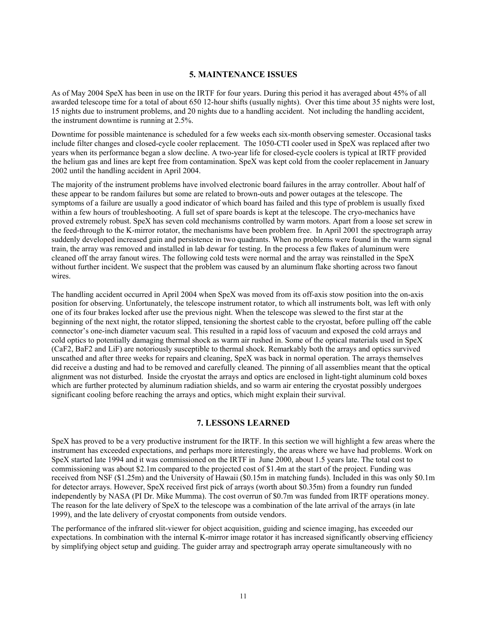# **5. MAINTENANCE ISSUES**

As of May 2004 SpeX has been in use on the IRTF for four years. During this period it has averaged about 45% of all awarded telescope time for a total of about 650 12-hour shifts (usually nights). Over this time about 35 nights were lost, 15 nights due to instrument problems, and 20 nights due to a handling accident. Not including the handling accident, the instrument downtime is running at 2.5%.

Downtime for possible maintenance is scheduled for a few weeks each six-month observing semester. Occasional tasks include filter changes and closed-cycle cooler replacement. The 1050-CTI cooler used in SpeX was replaced after two years when its performance began a slow decline. A two-year life for closed-cycle coolers is typical at IRTF provided the helium gas and lines are kept free from contamination. SpeX was kept cold from the cooler replacement in January 2002 until the handling accident in April 2004.

The majority of the instrument problems have involved electronic board failures in the array controller. About half of these appear to be random failures but some are related to brown-outs and power outages at the telescope. The symptoms of a failure are usually a good indicator of which board has failed and this type of problem is usually fixed within a few hours of troubleshooting. A full set of spare boards is kept at the telescope. The cryo-mechanics have proved extremely robust. SpeX has seven cold mechanisms controlled by warm motors. Apart from a loose set screw in the feed-through to the K-mirror rotator, the mechanisms have been problem free. In April 2001 the spectrograph array suddenly developed increased gain and persistence in two quadrants. When no problems were found in the warm signal train, the array was removed and installed in lab dewar for testing. In the process a few flakes of aluminum were cleaned off the array fanout wires. The following cold tests were normal and the array was reinstalled in the SpeX without further incident. We suspect that the problem was caused by an aluminum flake shorting across two fanout wires.

The handling accident occurred in April 2004 when SpeX was moved from its off-axis stow position into the on-axis position for observing. Unfortunately, the telescope instrument rotator, to which all instruments bolt, was left with only one of its four brakes locked after use the previous night. When the telescope was slewed to the first star at the beginning of the next night, the rotator slipped, tensioning the shortest cable to the cryostat, before pulling off the cable connector's one-inch diameter vacuum seal. This resulted in a rapid loss of vacuum and exposed the cold arrays and cold optics to potentially damaging thermal shock as warm air rushed in. Some of the optical materials used in SpeX (CaF2, BaF2 and LiF) are notoriously susceptible to thermal shock. Remarkably both the arrays and optics survived unscathed and after three weeks for repairs and cleaning, SpeX was back in normal operation. The arrays themselves did receive a dusting and had to be removed and carefully cleaned. The pinning of all assemblies meant that the optical alignment was not disturbed. Inside the cryostat the arrays and optics are enclosed in light-tight aluminum cold boxes which are further protected by aluminum radiation shields, and so warm air entering the cryostat possibly undergoes significant cooling before reaching the arrays and optics, which might explain their survival.

### **7. LESSONS LEARNED**

SpeX has proved to be a very productive instrument for the IRTF. In this section we will highlight a few areas where the instrument has exceeded expectations, and perhaps more interestingly, the areas where we have had problems. Work on SpeX started late 1994 and it was commissioned on the IRTF in June 2000, about 1.5 years late. The total cost to commissioning was about \$2.1m compared to the projected cost of \$1.4m at the start of the project. Funding was received from NSF (\$1.25m) and the University of Hawaii (\$0.15m in matching funds). Included in this was only \$0.1m for detector arrays. However, SpeX received first pick of arrays (worth about \$0.35m) from a foundry run funded independently by NASA (PI Dr. Mike Mumma). The cost overrun of \$0.7m was funded from IRTF operations money. The reason for the late delivery of SpeX to the telescope was a combination of the late arrival of the arrays (in late 1999), and the late delivery of cryostat components from outside vendors.

The performance of the infrared slit-viewer for object acquisition, guiding and science imaging, has exceeded our expectations. In combination with the internal K-mirror image rotator it has increased significantly observing efficiency by simplifying object setup and guiding. The guider array and spectrograph array operate simultaneously with no